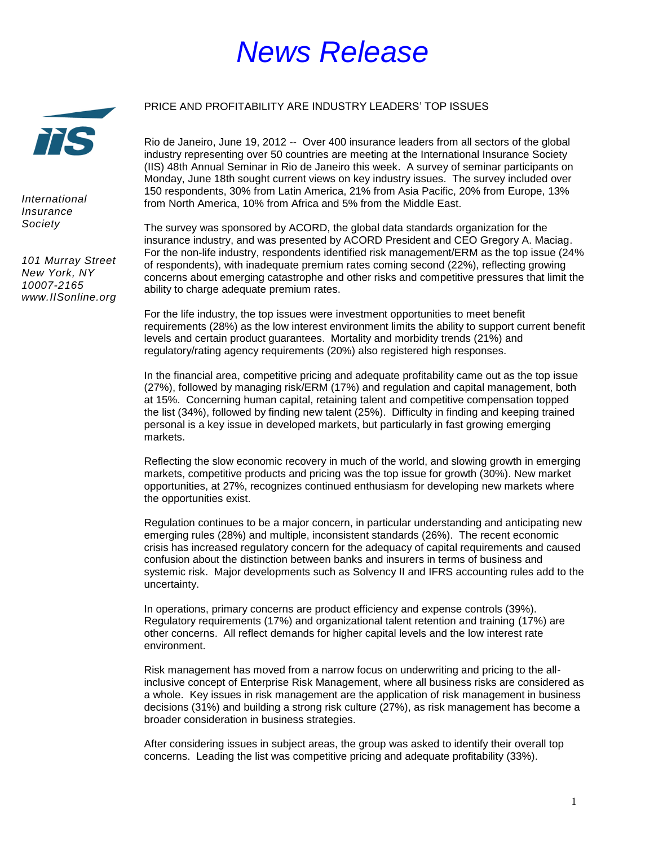## *News Release*

## PRICE AND PROFITABILITY ARE INDUSTRY LEADERS' TOP ISSUES

Rio de Janeiro, June 19, 2012 -- Over 400 insurance leaders from all sectors of the global industry representing over 50 countries are meeting at the International Insurance Society (IIS) 48th Annual Seminar in Rio de Janeiro this week. A survey of seminar participants on Monday, June 18th sought current views on key industry issues. The survey included over 150 respondents, 30% from Latin America, 21% from Asia Pacific, 20% from Europe, 13% from North America, 10% from Africa and 5% from the Middle East.

The survey was sponsored by ACORD, the global data standards organization for the insurance industry, and was presented by ACORD President and CEO Gregory A. Maciag. For the non-life industry, respondents identified risk management/ERM as the top issue (24% of respondents), with inadequate premium rates coming second (22%), reflecting growing concerns about emerging catastrophe and other risks and competitive pressures that limit the ability to charge adequate premium rates.

For the life industry, the top issues were investment opportunities to meet benefit requirements (28%) as the low interest environment limits the ability to support current benefit levels and certain product guarantees. Mortality and morbidity trends (21%) and regulatory/rating agency requirements (20%) also registered high responses.

In the financial area, competitive pricing and adequate profitability came out as the top issue (27%), followed by managing risk/ERM (17%) and regulation and capital management, both at 15%. Concerning human capital, retaining talent and competitive compensation topped the list (34%), followed by finding new talent (25%). Difficulty in finding and keeping trained personal is a key issue in developed markets, but particularly in fast growing emerging markets.

Reflecting the slow economic recovery in much of the world, and slowing growth in emerging markets, competitive products and pricing was the top issue for growth (30%). New market opportunities, at 27%, recognizes continued enthusiasm for developing new markets where the opportunities exist.

Regulation continues to be a major concern, in particular understanding and anticipating new emerging rules (28%) and multiple, inconsistent standards (26%). The recent economic crisis has increased regulatory concern for the adequacy of capital requirements and caused confusion about the distinction between banks and insurers in terms of business and systemic risk. Major developments such as Solvency II and IFRS accounting rules add to the uncertainty.

In operations, primary concerns are product efficiency and expense controls (39%). Regulatory requirements (17%) and organizational talent retention and training (17%) are other concerns. All reflect demands for higher capital levels and the low interest rate environment.

Risk management has moved from a narrow focus on underwriting and pricing to the allinclusive concept of Enterprise Risk Management, where all business risks are considered as a whole. Key issues in risk management are the application of risk management in business decisions (31%) and building a strong risk culture (27%), as risk management has become a broader consideration in business strategies.

After considering issues in subject areas, the group was asked to identify their overall top concerns. Leading the list was competitive pricing and adequate profitability (33%).



*International Insurance Society*

*101 Murray Street New York, NY 10007-2165 www.IISonline.org*